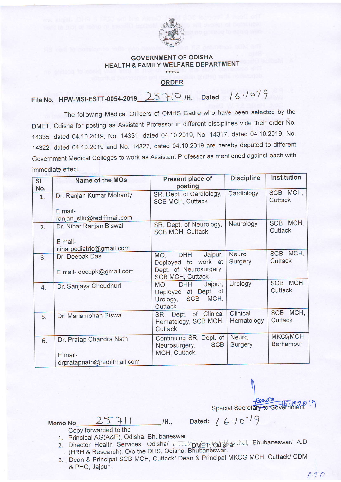

## **GOVERNMENT OF ODISHA HEALTH & FAMILY WELFARE DEPARTMENT** \*\*\*\*\*

**ORDER** 

 $2570H$ . Dated  $16.1079$ File No. HFW-MSI-ESTT-0054-2019

The following Medical Officers of OMHS Cadre who have been selected by the DMET, Odisha for posting as Assistant Professor in different disciplines vide their order No. 14335, dated 04.10.2019, No. 14331, dated 04.10.2019, No. 14317, dated 04.10.2019. No. 14322, dated 04.10.2019 and No. 14327, dated 04.10.2019 are hereby deputed to different Government Medical Colleges to work as Assistant Professor as mentioned against each with immediate effect.

| SI<br>No. | Name of the MOs                       | Present place of<br>posting                                                                       | <b>Discipline</b>      | Institution           |
|-----------|---------------------------------------|---------------------------------------------------------------------------------------------------|------------------------|-----------------------|
| 1.        | Dr. Ranjan Kumar Mohanty              | SR, Dept. of Cardiology,<br><b>SCB MCH, Cuttack</b>                                               | Cardiology             | SCB MCH,<br>Cuttack   |
|           | E mail-<br>ranjan_silu@rediffmail.com |                                                                                                   |                        |                       |
| 2.        | Dr. Nihar Ranjan Biswal               | SR, Dept. of Neurology,<br><b>SCB MCH, Cuttack</b>                                                | Neurology              | SCB MCH,<br>Cuttack   |
|           | E mail-<br>niharpediatric@gmail.com   |                                                                                                   |                        |                       |
| 3.        | Dr. Deepak Das                        | <b>DHH</b><br>Jajpur,<br>MO,<br>Deployed to work at                                               | Neuro<br>Surgery       | SCB MCH,<br>Cuttack   |
|           | E mail- docdpk@gmail.com              | Dept. of Neurosurgery,<br><b>SCB MCH, Cuttack</b>                                                 |                        |                       |
| 4.        | Dr. Sanjaya Choudhuri                 | Jajpur,<br><b>DHH</b><br>MO,<br>Deployed at Dept. of<br>MCH,<br><b>SCB</b><br>Urology,<br>Cuttack | Urology                | SCB MCH,<br>Cuttack   |
| 5.        | Dr. Manamohan Biswal                  | SR, Dept. of Clinical<br>Hematology, SCB MCH,<br>Cuttack                                          | Clinical<br>Hematology | SCB MCH,<br>Cuttack   |
| 6.        | Dr. Pratap Chandra Nath<br>E mail-    | Continuing SR, Dept. of<br><b>SCB</b><br>Neurosurgery,<br>MCH, Cuttack.                           | Neuro.<br>Surgery      | MKCGMCH,<br>Berhampur |
|           | droratapnath@rediffmail.com           |                                                                                                   |                        |                       |

Peerath Special Secretary to Government 19

Dated:  $(6.10^{19})$ 

 $25711$ Memo No

Copy forwarded to the

- 1. Principal AG(A&E), Odisha, Bhubaneswar.
- 2. Director Health Services, Odishal Directory Odishappital, Bhubaneswar/ A.D (HRH & Research), O/o the DHS, Odisha, Bhubaneswar.

/H.,

3. Dean & Principal SCB MCH, Cuttack/ Dean & Principal MKCG MCH, Cuttack/ CDM & PHO, Jajpur.